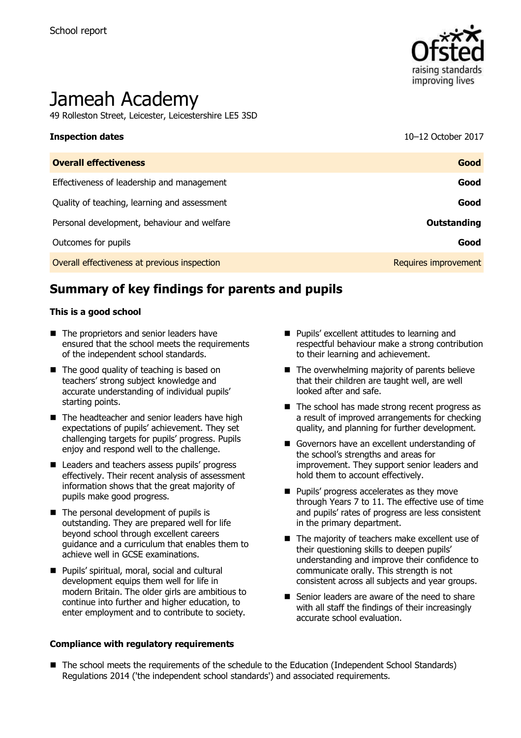

# Jameah Academy

49 Rolleston Street, Leicester, Leicestershire LE5 3SD

# **Inspection dates** 10–12 October 2017

| <b>Overall effectiveness</b>                 | Good                 |
|----------------------------------------------|----------------------|
| Effectiveness of leadership and management   | Good                 |
| Quality of teaching, learning and assessment | Good                 |
| Personal development, behaviour and welfare  | <b>Outstanding</b>   |
| Outcomes for pupils                          | Good                 |
| Overall effectiveness at previous inspection | Requires improvement |

## **Summary of key findings for parents and pupils**

#### **This is a good school**

- The proprietors and senior leaders have ensured that the school meets the requirements of the independent school standards.
- The good quality of teaching is based on teachers' strong subject knowledge and accurate understanding of individual pupils' starting points.
- The headteacher and senior leaders have high expectations of pupils' achievement. They set challenging targets for pupils' progress. Pupils enjoy and respond well to the challenge.
- Leaders and teachers assess pupils' progress effectively. Their recent analysis of assessment information shows that the great majority of pupils make good progress.
- The personal development of pupils is outstanding. They are prepared well for life beyond school through excellent careers guidance and a curriculum that enables them to achieve well in GCSE examinations.
- Pupils' spiritual, moral, social and cultural development equips them well for life in modern Britain. The older girls are ambitious to continue into further and higher education, to enter employment and to contribute to society.

#### **Compliance with regulatory requirements**

- **Pupils' excellent attitudes to learning and** respectful behaviour make a strong contribution to their learning and achievement.
- $\blacksquare$  The overwhelming majority of parents believe that their children are taught well, are well looked after and safe.
- The school has made strong recent progress as a result of improved arrangements for checking quality, and planning for further development.
- Governors have an excellent understanding of the school's strengths and areas for improvement. They support senior leaders and hold them to account effectively.
- **Pupils' progress accelerates as they move** through Years 7 to 11. The effective use of time and pupils' rates of progress are less consistent in the primary department.
- The majority of teachers make excellent use of their questioning skills to deepen pupils' understanding and improve their confidence to communicate orally. This strength is not consistent across all subjects and year groups.
- Senior leaders are aware of the need to share with all staff the findings of their increasingly accurate school evaluation.
- The school meets the requirements of the schedule to the Education (Independent School Standards) Regulations 2014 ('the independent school standards') and associated requirements.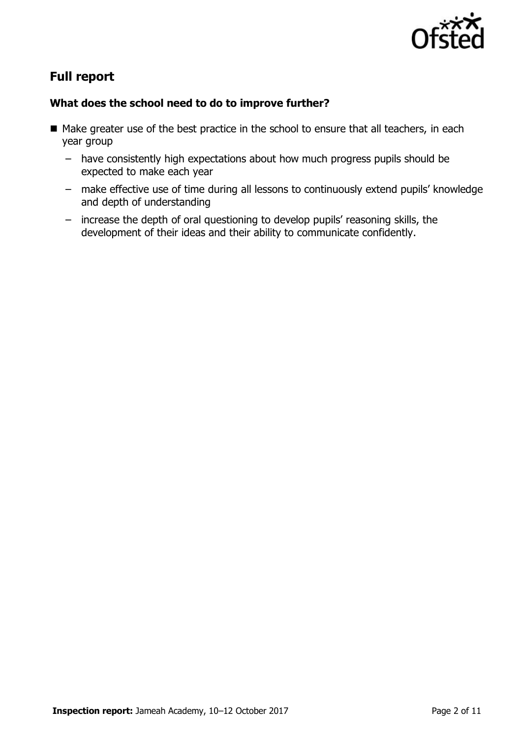

# **Full report**

### **What does the school need to do to improve further?**

- Make greater use of the best practice in the school to ensure that all teachers, in each year group
	- have consistently high expectations about how much progress pupils should be expected to make each year
	- make effective use of time during all lessons to continuously extend pupils' knowledge and depth of understanding
	- increase the depth of oral questioning to develop pupils' reasoning skills, the development of their ideas and their ability to communicate confidently.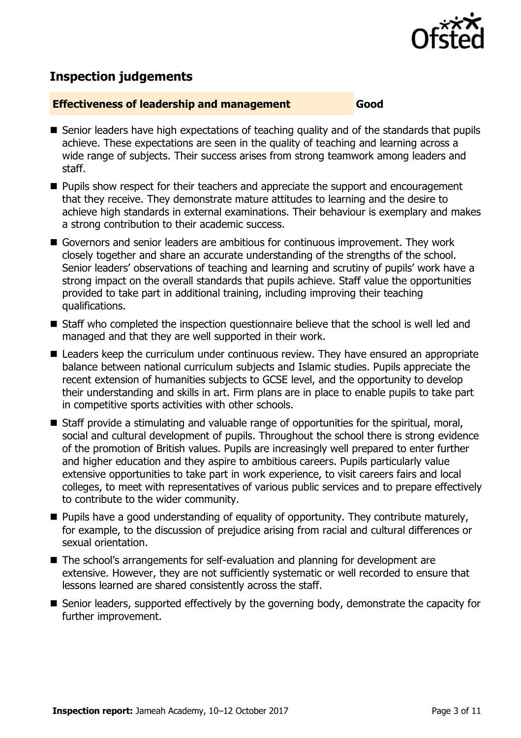

# **Inspection judgements**

#### **Effectiveness of leadership and management Good**

- Senior leaders have high expectations of teaching quality and of the standards that pupils achieve. These expectations are seen in the quality of teaching and learning across a wide range of subjects. Their success arises from strong teamwork among leaders and staff.
- **Pupils show respect for their teachers and appreciate the support and encouragement** that they receive. They demonstrate mature attitudes to learning and the desire to achieve high standards in external examinations. Their behaviour is exemplary and makes a strong contribution to their academic success.
- Governors and senior leaders are ambitious for continuous improvement. They work closely together and share an accurate understanding of the strengths of the school. Senior leaders' observations of teaching and learning and scrutiny of pupils' work have a strong impact on the overall standards that pupils achieve. Staff value the opportunities provided to take part in additional training, including improving their teaching qualifications.
- Staff who completed the inspection questionnaire believe that the school is well led and managed and that they are well supported in their work.
- Leaders keep the curriculum under continuous review. They have ensured an appropriate balance between national curriculum subjects and Islamic studies. Pupils appreciate the recent extension of humanities subjects to GCSE level, and the opportunity to develop their understanding and skills in art. Firm plans are in place to enable pupils to take part in competitive sports activities with other schools.
- Staff provide a stimulating and valuable range of opportunities for the spiritual, moral, social and cultural development of pupils. Throughout the school there is strong evidence of the promotion of British values. Pupils are increasingly well prepared to enter further and higher education and they aspire to ambitious careers. Pupils particularly value extensive opportunities to take part in work experience, to visit careers fairs and local colleges, to meet with representatives of various public services and to prepare effectively to contribute to the wider community.
- **Pupils have a good understanding of equality of opportunity. They contribute maturely,** for example, to the discussion of prejudice arising from racial and cultural differences or sexual orientation.
- The school's arrangements for self-evaluation and planning for development are extensive. However, they are not sufficiently systematic or well recorded to ensure that lessons learned are shared consistently across the staff.
- Senior leaders, supported effectively by the governing body, demonstrate the capacity for further improvement.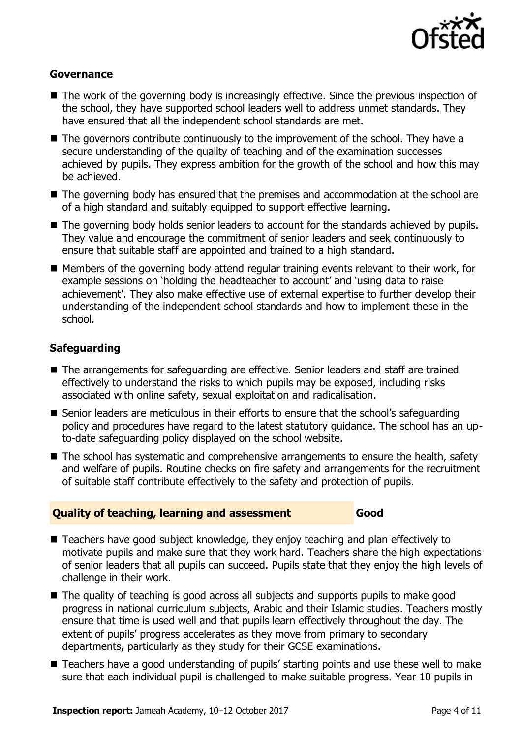

#### **Governance**

- The work of the governing body is increasingly effective. Since the previous inspection of the school, they have supported school leaders well to address unmet standards. They have ensured that all the independent school standards are met.
- The governors contribute continuously to the improvement of the school. They have a secure understanding of the quality of teaching and of the examination successes achieved by pupils. They express ambition for the growth of the school and how this may be achieved.
- The governing body has ensured that the premises and accommodation at the school are of a high standard and suitably equipped to support effective learning.
- The governing body holds senior leaders to account for the standards achieved by pupils. They value and encourage the commitment of senior leaders and seek continuously to ensure that suitable staff are appointed and trained to a high standard.
- Members of the governing body attend regular training events relevant to their work, for example sessions on 'holding the headteacher to account' and 'using data to raise achievement'. They also make effective use of external expertise to further develop their understanding of the independent school standards and how to implement these in the school.

#### **Safeguarding**

- The arrangements for safeguarding are effective. Senior leaders and staff are trained effectively to understand the risks to which pupils may be exposed, including risks associated with online safety, sexual exploitation and radicalisation.
- Senior leaders are meticulous in their efforts to ensure that the school's safeguarding policy and procedures have regard to the latest statutory guidance. The school has an upto-date safeguarding policy displayed on the school website.
- The school has systematic and comprehensive arrangements to ensure the health, safety and welfare of pupils. Routine checks on fire safety and arrangements for the recruitment of suitable staff contribute effectively to the safety and protection of pupils.

#### **Quality of teaching, learning and assessment Good**

- Teachers have good subject knowledge, they enjoy teaching and plan effectively to motivate pupils and make sure that they work hard. Teachers share the high expectations of senior leaders that all pupils can succeed. Pupils state that they enjoy the high levels of challenge in their work.
- The quality of teaching is good across all subjects and supports pupils to make good progress in national curriculum subjects, Arabic and their Islamic studies. Teachers mostly ensure that time is used well and that pupils learn effectively throughout the day. The extent of pupils' progress accelerates as they move from primary to secondary departments, particularly as they study for their GCSE examinations.
- Teachers have a good understanding of pupils' starting points and use these well to make sure that each individual pupil is challenged to make suitable progress. Year 10 pupils in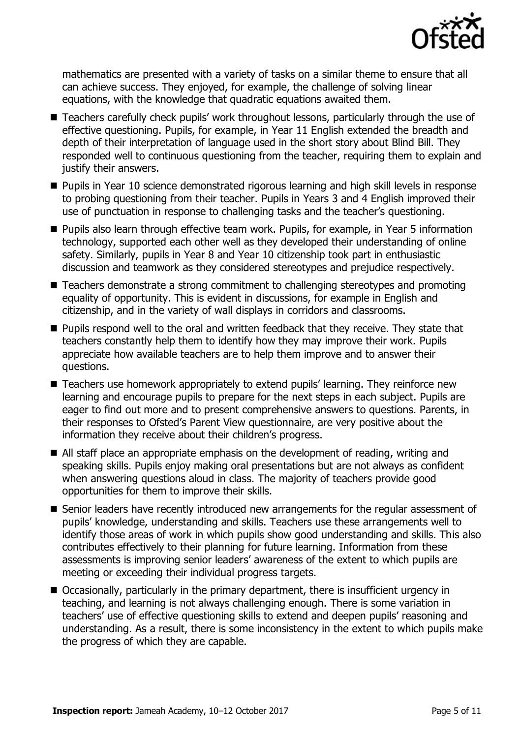

mathematics are presented with a variety of tasks on a similar theme to ensure that all can achieve success. They enjoyed, for example, the challenge of solving linear equations, with the knowledge that quadratic equations awaited them.

- Teachers carefully check pupils' work throughout lessons, particularly through the use of effective questioning. Pupils, for example, in Year 11 English extended the breadth and depth of their interpretation of language used in the short story about Blind Bill. They responded well to continuous questioning from the teacher, requiring them to explain and justify their answers.
- **Pupils in Year 10 science demonstrated rigorous learning and high skill levels in response** to probing questioning from their teacher. Pupils in Years 3 and 4 English improved their use of punctuation in response to challenging tasks and the teacher's questioning.
- **Pupils also learn through effective team work. Pupils, for example, in Year 5 information** technology, supported each other well as they developed their understanding of online safety. Similarly, pupils in Year 8 and Year 10 citizenship took part in enthusiastic discussion and teamwork as they considered stereotypes and prejudice respectively.
- Teachers demonstrate a strong commitment to challenging stereotypes and promoting equality of opportunity. This is evident in discussions, for example in English and citizenship, and in the variety of wall displays in corridors and classrooms.
- **Pupils respond well to the oral and written feedback that they receive. They state that** teachers constantly help them to identify how they may improve their work. Pupils appreciate how available teachers are to help them improve and to answer their questions.
- Teachers use homework appropriately to extend pupils' learning. They reinforce new learning and encourage pupils to prepare for the next steps in each subject. Pupils are eager to find out more and to present comprehensive answers to questions. Parents, in their responses to Ofsted's Parent View questionnaire, are very positive about the information they receive about their children's progress.
- All staff place an appropriate emphasis on the development of reading, writing and speaking skills. Pupils enjoy making oral presentations but are not always as confident when answering questions aloud in class. The majority of teachers provide good opportunities for them to improve their skills.
- Senior leaders have recently introduced new arrangements for the regular assessment of pupils' knowledge, understanding and skills. Teachers use these arrangements well to identify those areas of work in which pupils show good understanding and skills. This also contributes effectively to their planning for future learning. Information from these assessments is improving senior leaders' awareness of the extent to which pupils are meeting or exceeding their individual progress targets.
- Occasionally, particularly in the primary department, there is insufficient urgency in teaching, and learning is not always challenging enough. There is some variation in teachers' use of effective questioning skills to extend and deepen pupils' reasoning and understanding. As a result, there is some inconsistency in the extent to which pupils make the progress of which they are capable.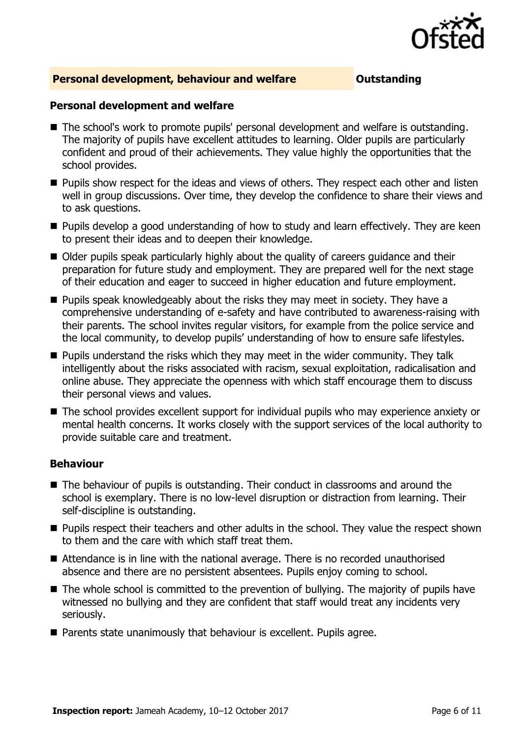

#### **Personal development, behaviour and welfare <b>COUTS** Outstanding

#### **Personal development and welfare**

- The school's work to promote pupils' personal development and welfare is outstanding. The majority of pupils have excellent attitudes to learning. Older pupils are particularly confident and proud of their achievements. They value highly the opportunities that the school provides.
- **Pupils show respect for the ideas and views of others. They respect each other and listen** well in group discussions. Over time, they develop the confidence to share their views and to ask questions.
- **Pupils develop a good understanding of how to study and learn effectively. They are keen** to present their ideas and to deepen their knowledge.
- Older pupils speak particularly highly about the quality of careers quidance and their preparation for future study and employment. They are prepared well for the next stage of their education and eager to succeed in higher education and future employment.
- **Pupils speak knowledgeably about the risks they may meet in society. They have a** comprehensive understanding of e-safety and have contributed to awareness-raising with their parents. The school invites regular visitors, for example from the police service and the local community, to develop pupils' understanding of how to ensure safe lifestyles.
- $\blacksquare$  Pupils understand the risks which they may meet in the wider community. They talk intelligently about the risks associated with racism, sexual exploitation, radicalisation and online abuse. They appreciate the openness with which staff encourage them to discuss their personal views and values.
- The school provides excellent support for individual pupils who may experience anxiety or mental health concerns. It works closely with the support services of the local authority to provide suitable care and treatment.

#### **Behaviour**

- The behaviour of pupils is outstanding. Their conduct in classrooms and around the school is exemplary. There is no low-level disruption or distraction from learning. Their self-discipline is outstanding.
- **Pupils respect their teachers and other adults in the school. They value the respect shown** to them and the care with which staff treat them.
- Attendance is in line with the national average. There is no recorded unauthorised absence and there are no persistent absentees. Pupils enjoy coming to school.
- The whole school is committed to the prevention of bullying. The majority of pupils have witnessed no bullying and they are confident that staff would treat any incidents very seriously.
- **Parents state unanimously that behaviour is excellent. Pupils agree.**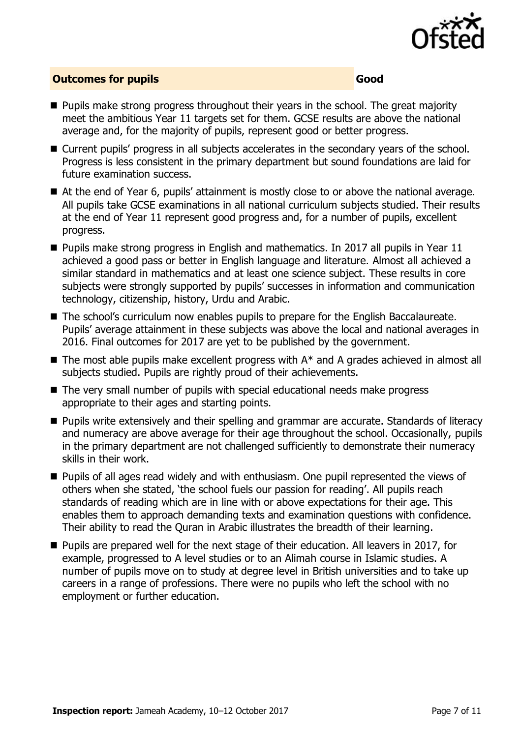

### **Outcomes for pupils Good**

- **Pupils make strong progress throughout their years in the school. The great majority** meet the ambitious Year 11 targets set for them. GCSE results are above the national average and, for the majority of pupils, represent good or better progress.
- Current pupils' progress in all subjects accelerates in the secondary years of the school. Progress is less consistent in the primary department but sound foundations are laid for future examination success.
- At the end of Year 6, pupils' attainment is mostly close to or above the national average. All pupils take GCSE examinations in all national curriculum subjects studied. Their results at the end of Year 11 represent good progress and, for a number of pupils, excellent progress.
- **Pupils make strong progress in English and mathematics. In 2017 all pupils in Year 11** achieved a good pass or better in English language and literature. Almost all achieved a similar standard in mathematics and at least one science subject. These results in core subjects were strongly supported by pupils' successes in information and communication technology, citizenship, history, Urdu and Arabic.
- The school's curriculum now enables pupils to prepare for the English Baccalaureate. Pupils' average attainment in these subjects was above the local and national averages in 2016. Final outcomes for 2017 are yet to be published by the government.
- $\blacksquare$  The most able pupils make excellent progress with  $A^*$  and A grades achieved in almost all subjects studied. Pupils are rightly proud of their achievements.
- The very small number of pupils with special educational needs make progress appropriate to their ages and starting points.
- **Pupils write extensively and their spelling and grammar are accurate. Standards of literacy** and numeracy are above average for their age throughout the school. Occasionally, pupils in the primary department are not challenged sufficiently to demonstrate their numeracy skills in their work.
- **Pupils of all ages read widely and with enthusiasm. One pupil represented the views of** others when she stated, 'the school fuels our passion for reading'. All pupils reach standards of reading which are in line with or above expectations for their age. This enables them to approach demanding texts and examination questions with confidence. Their ability to read the Quran in Arabic illustrates the breadth of their learning.
- **Pupils are prepared well for the next stage of their education. All leavers in 2017, for** example, progressed to A level studies or to an Alimah course in Islamic studies. A number of pupils move on to study at degree level in British universities and to take up careers in a range of professions. There were no pupils who left the school with no employment or further education.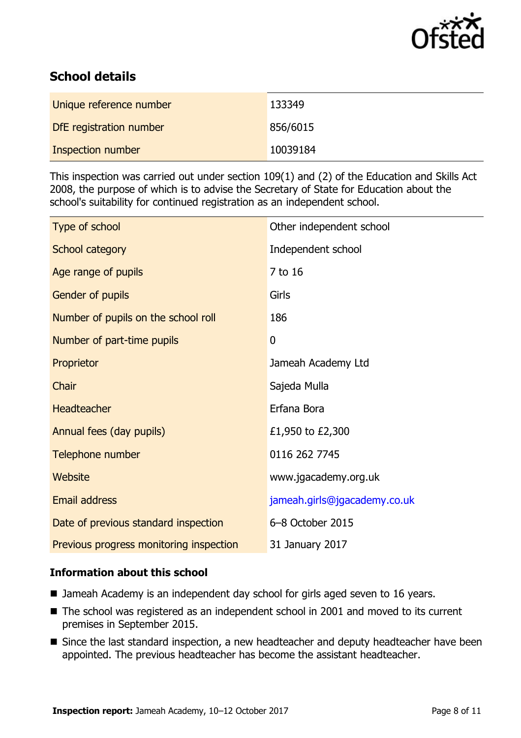

# **School details**

| Unique reference number | 133349   |
|-------------------------|----------|
| DfE registration number | 856/6015 |
| Inspection number       | 10039184 |

This inspection was carried out under section 109(1) and (2) of the Education and Skills Act 2008, the purpose of which is to advise the Secretary of State for Education about the school's suitability for continued registration as an independent school.

| Type of school                          | Other independent school     |
|-----------------------------------------|------------------------------|
| School category                         | Independent school           |
| Age range of pupils                     | 7 to 16                      |
| Gender of pupils                        | Girls                        |
| Number of pupils on the school roll     | 186                          |
| Number of part-time pupils              | 0                            |
| Proprietor                              | Jameah Academy Ltd           |
| Chair                                   | Sajeda Mulla                 |
| Headteacher                             | Erfana Bora                  |
| Annual fees (day pupils)                | £1,950 to £2,300             |
| Telephone number                        | 0116 262 7745                |
| <b>Website</b>                          | www.jgacademy.org.uk         |
| <b>Email address</b>                    | jameah.girls@jgacademy.co.uk |
| Date of previous standard inspection    | 6-8 October 2015             |
| Previous progress monitoring inspection | 31 January 2017              |

### **Information about this school**

- Jameah Academy is an independent day school for girls aged seven to 16 years.
- The school was registered as an independent school in 2001 and moved to its current premises in September 2015.
- Since the last standard inspection, a new headteacher and deputy headteacher have been appointed. The previous headteacher has become the assistant headteacher.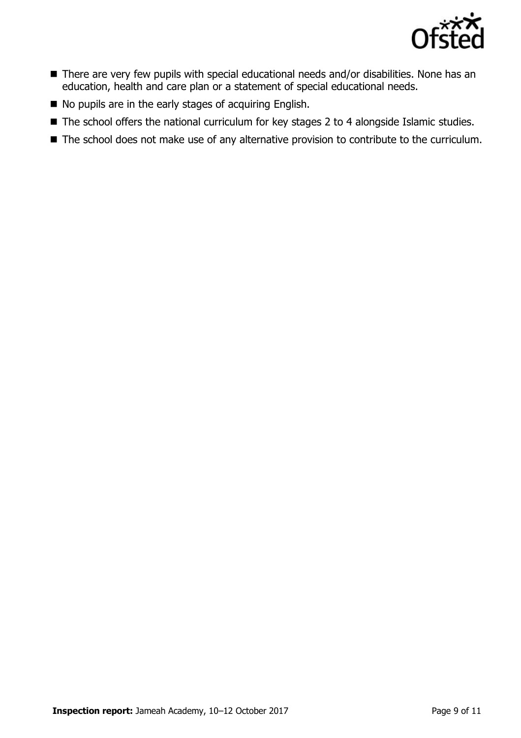

- There are very few pupils with special educational needs and/or disabilities. None has an education, health and care plan or a statement of special educational needs.
- $\blacksquare$  No pupils are in the early stages of acquiring English.
- The school offers the national curriculum for key stages 2 to 4 alongside Islamic studies.
- The school does not make use of any alternative provision to contribute to the curriculum.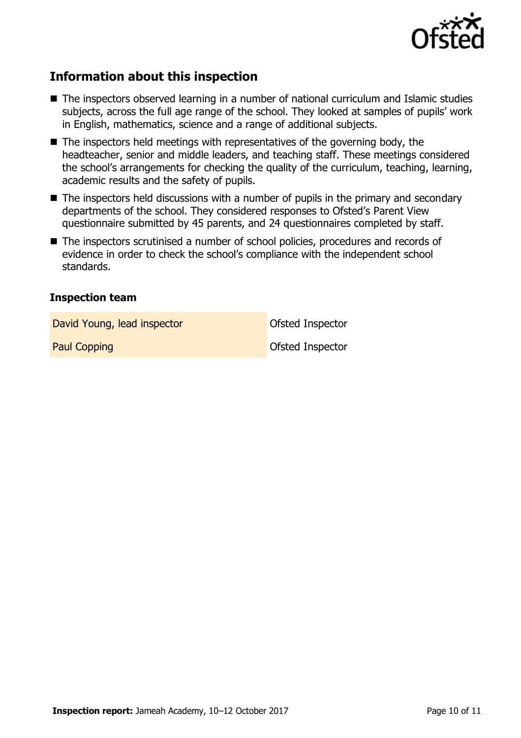

# **Information about this inspection**

- The inspectors observed learning in a number of national curriculum and Islamic studies subjects, across the full age range of the school. They looked at samples of pupils' work in English, mathematics, science and a range of additional subjects.
- $\blacksquare$  The inspectors held meetings with representatives of the governing body, the headteacher, senior and middle leaders, and teaching staff. These meetings considered the school's arrangements for checking the quality of the curriculum, teaching, learning, academic results and the safety of pupils.
- The inspectors held discussions with a number of pupils in the primary and secondary departments of the school. They considered responses to Ofsted's Parent View questionnaire submitted by 45 parents, and 24 questionnaires completed by staff.
- The inspectors scrutinised a number of school policies, procedures and records of evidence in order to check the school's compliance with the independent school standards.

#### **Inspection team**

David Young, lead inspector **David Young, lead inspector** 

Paul Copping **Department Control** Copping **Control** Copping **Ofsted Inspector**